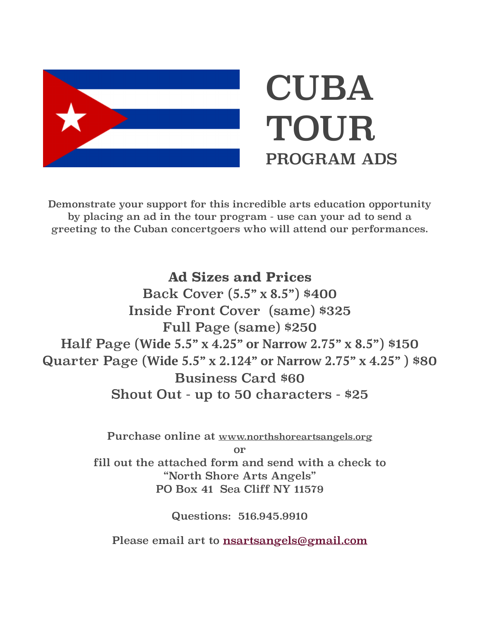

Demonstrate your support for this incredible arts education opportunity by placing an ad in the tour program - use can your ad to send a greeting to the Cuban concertgoers who will attend our performances.

**Ad Sizes and Prices**

Back Cover (**5.5" x 8.5"**) \$400 Inside Front Cover (same) \$325 Full Page (same) \$250 Half Page (**Wide 5.5" x 4.25" or Narrow 2.75" x 8.5"**) \$150 Quarter Page (**Wide 5.5" x 2.124" or Narrow 2.75" x 4.25"** ) \$80 Business Card \$60 Shout Out - up to 50 characters - \$25

> Purchase online at [www.northshoreartsangels.org](http://www.northshoreartsangels.org) or fill out the attached form and send with a check to "North Shore Arts Angels" PO Box 41 Sea Cliff NY 11579

> > Questions: 516.945.9910

Please email art to [nsartsangels@gmail.com](mailto:nsartsangels@gmail.com)